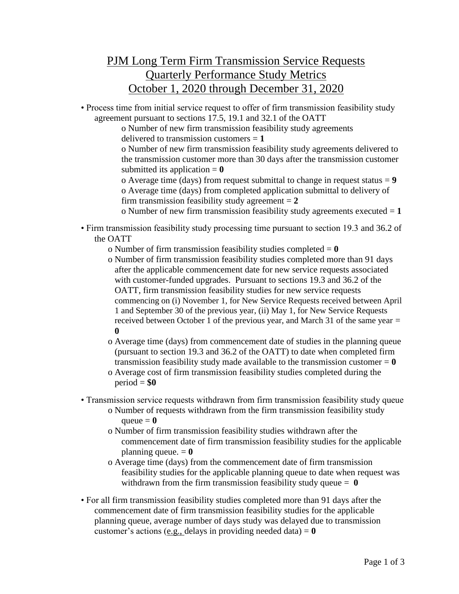## PJM Long Term Firm Transmission Service Requests Quarterly Performance Study Metrics October 1, 2020 through December 31, 2020

• Process time from initial service request to offer of firm transmission feasibility study agreement pursuant to sections 17.5, 19.1 and 32.1 of the OATT

o Number of new firm transmission feasibility study agreements delivered to transmission customers = **1**

o Number of new firm transmission feasibility study agreements delivered to the transmission customer more than 30 days after the transmission customer submitted its application  $= 0$ 

o Average time (days) from request submittal to change in request status = **9** o Average time (days) from completed application submittal to delivery of firm transmission feasibility study agreement  $= 2$ 

o Number of new firm transmission feasibility study agreements executed = **1**

• Firm transmission feasibility study processing time pursuant to section 19.3 and 36.2 of the OATT

o Number of firm transmission feasibility studies completed = **0**

- o Number of firm transmission feasibility studies completed more than 91 days after the applicable commencement date for new service requests associated with customer-funded upgrades. Pursuant to sections 19.3 and 36.2 of the OATT, firm transmission feasibility studies for new service requests commencing on (i) November 1, for New Service Requests received between April 1 and September 30 of the previous year, (ii) May 1, for New Service Requests received between October 1 of the previous year, and March 31 of the same year = **0**
- o Average time (days) from commencement date of studies in the planning queue (pursuant to section 19.3 and 36.2 of the OATT) to date when completed firm transmission feasibility study made available to the transmission customer  $= 0$
- o Average cost of firm transmission feasibility studies completed during the  $period = $0$
- Transmission service requests withdrawn from firm transmission feasibility study queue
	- o Number of requests withdrawn from the firm transmission feasibility study queue  $= 0$
	- o Number of firm transmission feasibility studies withdrawn after the commencement date of firm transmission feasibility studies for the applicable planning queue.  $= 0$
	- o Average time (days) from the commencement date of firm transmission feasibility studies for the applicable planning queue to date when request was withdrawn from the firm transmission feasibility study queue = **0**
- For all firm transmission feasibility studies completed more than 91 days after the commencement date of firm transmission feasibility studies for the applicable planning queue, average number of days study was delayed due to transmission customer's actions (e.g., delays in providing needed data)  $= 0$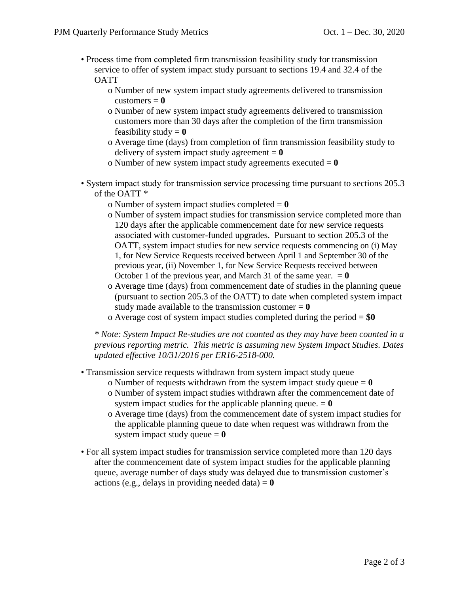- Process time from completed firm transmission feasibility study for transmission service to offer of system impact study pursuant to sections 19.4 and 32.4 of the **OATT** 
	- o Number of new system impact study agreements delivered to transmission  $\text{customers} = 0$
	- o Number of new system impact study agreements delivered to transmission customers more than 30 days after the completion of the firm transmission feasibility study  $= 0$
	- o Average time (days) from completion of firm transmission feasibility study to delivery of system impact study agreement  $= 0$
	- o Number of new system impact study agreements executed = **0**
- System impact study for transmission service processing time pursuant to sections 205.3 of the OATT \*
	- o Number of system impact studies completed = **0**
	- o Number of system impact studies for transmission service completed more than 120 days after the applicable commencement date for new service requests associated with customer-funded upgrades. Pursuant to section 205.3 of the OATT, system impact studies for new service requests commencing on (i) May 1, for New Service Requests received between April 1 and September 30 of the previous year, (ii) November 1, for New Service Requests received between October 1 of the previous year, and March 31 of the same year.  $= 0$
	- o Average time (days) from commencement date of studies in the planning queue (pursuant to section 205.3 of the OATT) to date when completed system impact study made available to the transmission customer  $= 0$
	- o Average cost of system impact studies completed during the period = **\$0**

*\* Note: System Impact Re-studies are not counted as they may have been counted in a previous reporting metric. This metric is assuming new System Impact Studies. Dates updated effective 10/31/2016 per ER16-2518-000.*

- Transmission service requests withdrawn from system impact study queue
	- o Number of requests withdrawn from the system impact study queue = **0**
	- o Number of system impact studies withdrawn after the commencement date of system impact studies for the applicable planning queue.  $= 0$
	- o Average time (days) from the commencement date of system impact studies for the applicable planning queue to date when request was withdrawn from the system impact study queue  $= 0$
- For all system impact studies for transmission service completed more than 120 days after the commencement date of system impact studies for the applicable planning queue, average number of days study was delayed due to transmission customer's actions (e.g., delays in providing needed data)  $= 0$